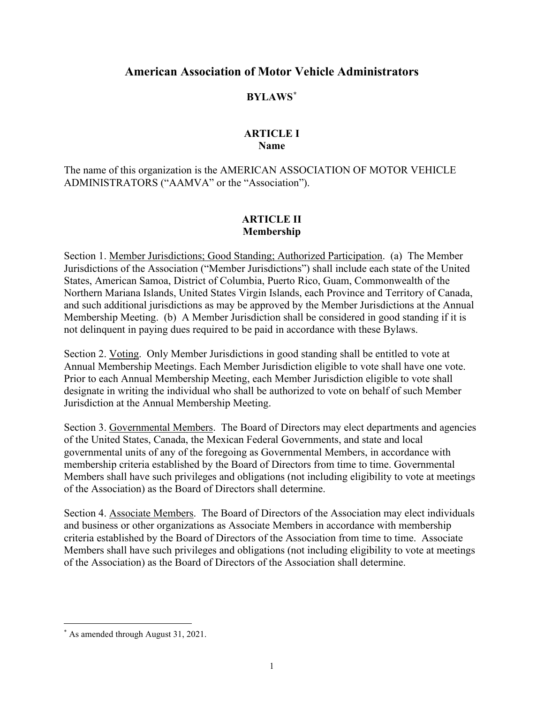# **American Association of Motor Vehicle Administrators**

# **BYLAWS[\\*](#page-0-0)**

### **ARTICLE I Name**

The name of this organization is the AMERICAN ASSOCIATION OF MOTOR VEHICLE ADMINISTRATORS ("AAMVA" or the "Association").

# **ARTICLE II Membership**

Section 1. Member Jurisdictions; Good Standing; Authorized Participation. (a) The Member Jurisdictions of the Association ("Member Jurisdictions") shall include each state of the United States, American Samoa, District of Columbia, Puerto Rico, Guam, Commonwealth of the Northern Mariana Islands, United States Virgin Islands, each Province and Territory of Canada, and such additional jurisdictions as may be approved by the Member Jurisdictions at the Annual Membership Meeting. (b) A Member Jurisdiction shall be considered in good standing if it is not delinquent in paying dues required to be paid in accordance with these Bylaws.

Section 2. Voting. Only Member Jurisdictions in good standing shall be entitled to vote at Annual Membership Meetings. Each Member Jurisdiction eligible to vote shall have one vote. Prior to each Annual Membership Meeting, each Member Jurisdiction eligible to vote shall designate in writing the individual who shall be authorized to vote on behalf of such Member Jurisdiction at the Annual Membership Meeting.

Section 3. Governmental Members. The Board of Directors may elect departments and agencies of the United States, Canada, the Mexican Federal Governments, and state and local governmental units of any of the foregoing as Governmental Members, in accordance with membership criteria established by the Board of Directors from time to time. Governmental Members shall have such privileges and obligations (not including eligibility to vote at meetings of the Association) as the Board of Directors shall determine.

Section 4. Associate Members. The Board of Directors of the Association may elect individuals and business or other organizations as Associate Members in accordance with membership criteria established by the Board of Directors of the Association from time to time. Associate Members shall have such privileges and obligations (not including eligibility to vote at meetings of the Association) as the Board of Directors of the Association shall determine.

<span id="page-0-0"></span><sup>\*</sup> As amended through August 31, 2021.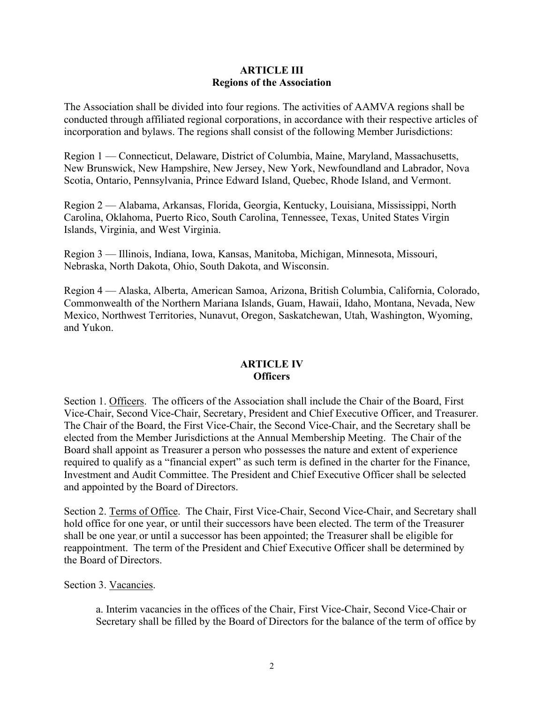### **ARTICLE III Regions of the Association**

The Association shall be divided into four regions. The activities of AAMVA regions shall be conducted through affiliated regional corporations, in accordance with their respective articles of incorporation and bylaws. The regions shall consist of the following Member Jurisdictions:

Region 1 — Connecticut, Delaware, District of Columbia, Maine, Maryland, Massachusetts, New Brunswick, New Hampshire, New Jersey, New York, Newfoundland and Labrador, Nova Scotia, Ontario, Pennsylvania, Prince Edward Island, Quebec, Rhode Island, and Vermont.

Region 2 — Alabama, Arkansas, Florida, Georgia, Kentucky, Louisiana, Mississippi, North Carolina, Oklahoma, Puerto Rico, South Carolina, Tennessee, Texas, United States Virgin Islands, Virginia, and West Virginia.

Region 3 — Illinois, Indiana, Iowa, Kansas, Manitoba, Michigan, Minnesota, Missouri, Nebraska, North Dakota, Ohio, South Dakota, and Wisconsin.

Region 4 — Alaska, Alberta, American Samoa, Arizona, British Columbia, California, Colorado, Commonwealth of the Northern Mariana Islands, Guam, Hawaii, Idaho, Montana, Nevada, New Mexico, Northwest Territories, Nunavut, Oregon, Saskatchewan, Utah, Washington, Wyoming, and Yukon.

# **ARTICLE IV Officers**

Section 1. Officers. The officers of the Association shall include the Chair of the Board, First Vice-Chair, Second Vice-Chair, Secretary, President and Chief Executive Officer, and Treasurer. The Chair of the Board, the First Vice-Chair, the Second Vice-Chair, and the Secretary shall be elected from the Member Jurisdictions at the Annual Membership Meeting. The Chair of the Board shall appoint as Treasurer a person who possesses the nature and extent of experience required to qualify as a "financial expert" as such term is defined in the charter for the Finance, Investment and Audit Committee. The President and Chief Executive Officer shall be selected and appointed by the Board of Directors.

Section 2. Terms of Office. The Chair, First Vice-Chair, Second Vice-Chair, and Secretary shall hold office for one year, or until their successors have been elected. The term of the Treasurer shall be one year, or until a successor has been appointed; the Treasurer shall be eligible for reappointment. The term of the President and Chief Executive Officer shall be determined by the Board of Directors.

### Section 3. Vacancies.

a. Interim vacancies in the offices of the Chair, First Vice-Chair, Second Vice-Chair or Secretary shall be filled by the Board of Directors for the balance of the term of office by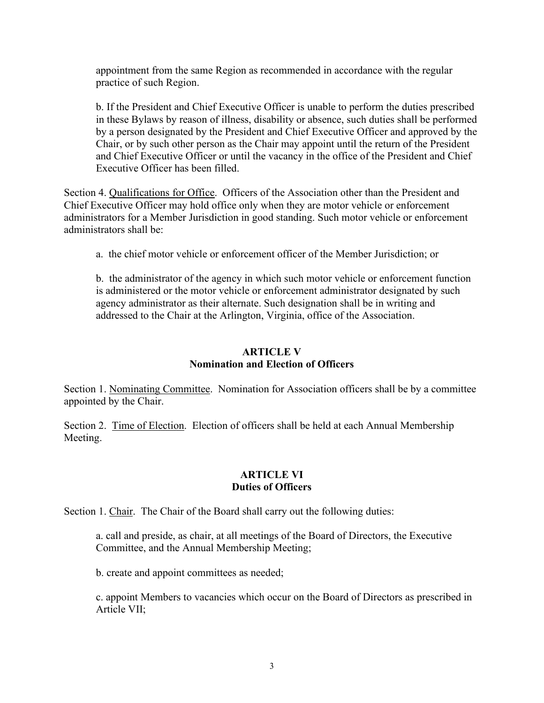appointment from the same Region as recommended in accordance with the regular practice of such Region.

b. If the President and Chief Executive Officer is unable to perform the duties prescribed in these Bylaws by reason of illness, disability or absence, such duties shall be performed by a person designated by the President and Chief Executive Officer and approved by the Chair, or by such other person as the Chair may appoint until the return of the President and Chief Executive Officer or until the vacancy in the office of the President and Chief Executive Officer has been filled.

Section 4. Qualifications for Office. Officers of the Association other than the President and Chief Executive Officer may hold office only when they are motor vehicle or enforcement administrators for a Member Jurisdiction in good standing. Such motor vehicle or enforcement administrators shall be:

a. the chief motor vehicle or enforcement officer of the Member Jurisdiction; or

b. the administrator of the agency in which such motor vehicle or enforcement function is administered or the motor vehicle or enforcement administrator designated by such agency administrator as their alternate. Such designation shall be in writing and addressed to the Chair at the Arlington, Virginia, office of the Association.

### **ARTICLE V Nomination and Election of Officers**

Section 1. Nominating Committee. Nomination for Association officers shall be by a committee appointed by the Chair.

Section 2. Time of Election. Election of officers shall be held at each Annual Membership Meeting.

### **ARTICLE VI Duties of Officers**

Section 1. Chair. The Chair of the Board shall carry out the following duties:

a. call and preside, as chair, at all meetings of the Board of Directors, the Executive Committee, and the Annual Membership Meeting;

b. create and appoint committees as needed;

c. appoint Members to vacancies which occur on the Board of Directors as prescribed in Article VII;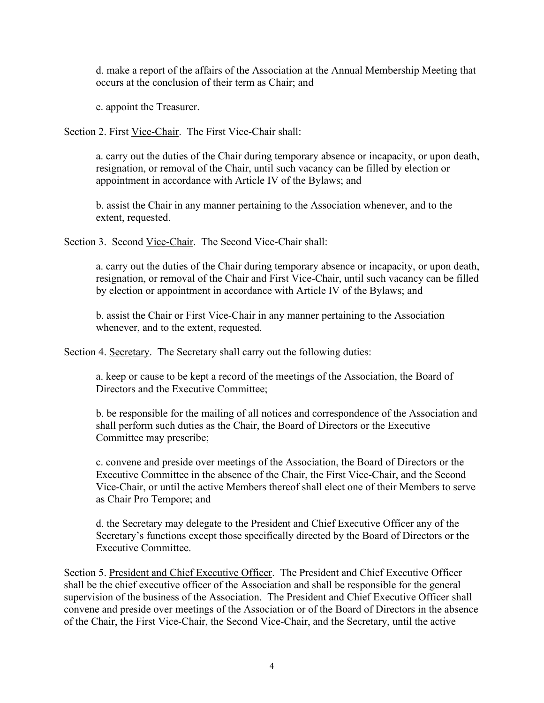d. make a report of the affairs of the Association at the Annual Membership Meeting that occurs at the conclusion of their term as Chair; and

e. appoint the Treasurer.

Section 2. First Vice-Chair. The First Vice-Chair shall:

a. carry out the duties of the Chair during temporary absence or incapacity, or upon death, resignation, or removal of the Chair, until such vacancy can be filled by election or appointment in accordance with Article IV of the Bylaws; and

b. assist the Chair in any manner pertaining to the Association whenever, and to the extent, requested.

Section 3. Second Vice-Chair. The Second Vice-Chair shall:

a. carry out the duties of the Chair during temporary absence or incapacity, or upon death, resignation, or removal of the Chair and First Vice-Chair, until such vacancy can be filled by election or appointment in accordance with Article IV of the Bylaws; and

b. assist the Chair or First Vice-Chair in any manner pertaining to the Association whenever, and to the extent, requested.

Section 4. Secretary. The Secretary shall carry out the following duties:

a. keep or cause to be kept a record of the meetings of the Association, the Board of Directors and the Executive Committee;

b. be responsible for the mailing of all notices and correspondence of the Association and shall perform such duties as the Chair, the Board of Directors or the Executive Committee may prescribe;

c. convene and preside over meetings of the Association, the Board of Directors or the Executive Committee in the absence of the Chair, the First Vice-Chair, and the Second Vice-Chair, or until the active Members thereof shall elect one of their Members to serve as Chair Pro Tempore; and

d. the Secretary may delegate to the President and Chief Executive Officer any of the Secretary's functions except those specifically directed by the Board of Directors or the Executive Committee.

Section 5. President and Chief Executive Officer. The President and Chief Executive Officer shall be the chief executive officer of the Association and shall be responsible for the general supervision of the business of the Association. The President and Chief Executive Officer shall convene and preside over meetings of the Association or of the Board of Directors in the absence of the Chair, the First Vice-Chair, the Second Vice-Chair, and the Secretary, until the active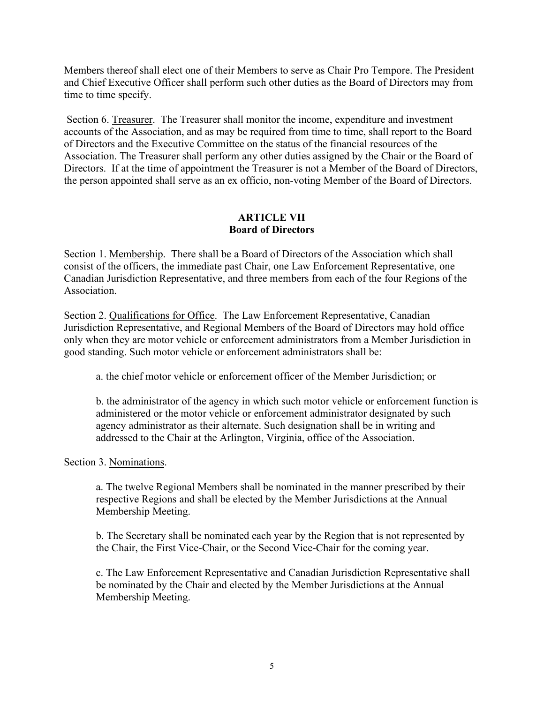Members thereof shall elect one of their Members to serve as Chair Pro Tempore. The President and Chief Executive Officer shall perform such other duties as the Board of Directors may from time to time specify.

Section 6. Treasurer. The Treasurer shall monitor the income, expenditure and investment accounts of the Association, and as may be required from time to time, shall report to the Board of Directors and the Executive Committee on the status of the financial resources of the Association. The Treasurer shall perform any other duties assigned by the Chair or the Board of Directors. If at the time of appointment the Treasurer is not a Member of the Board of Directors, the person appointed shall serve as an ex officio, non-voting Member of the Board of Directors.

# **ARTICLE VII Board of Directors**

Section 1. Membership. There shall be a Board of Directors of the Association which shall consist of the officers, the immediate past Chair, one Law Enforcement Representative, one Canadian Jurisdiction Representative, and three members from each of the four Regions of the Association.

Section 2. Qualifications for Office. The Law Enforcement Representative, Canadian Jurisdiction Representative, and Regional Members of the Board of Directors may hold office only when they are motor vehicle or enforcement administrators from a Member Jurisdiction in good standing. Such motor vehicle or enforcement administrators shall be:

a. the chief motor vehicle or enforcement officer of the Member Jurisdiction; or

b. the administrator of the agency in which such motor vehicle or enforcement function is administered or the motor vehicle or enforcement administrator designated by such agency administrator as their alternate. Such designation shall be in writing and addressed to the Chair at the Arlington, Virginia, office of the Association.

Section 3. Nominations.

a. The twelve Regional Members shall be nominated in the manner prescribed by their respective Regions and shall be elected by the Member Jurisdictions at the Annual Membership Meeting.

b. The Secretary shall be nominated each year by the Region that is not represented by the Chair, the First Vice-Chair, or the Second Vice-Chair for the coming year.

c. The Law Enforcement Representative and Canadian Jurisdiction Representative shall be nominated by the Chair and elected by the Member Jurisdictions at the Annual Membership Meeting.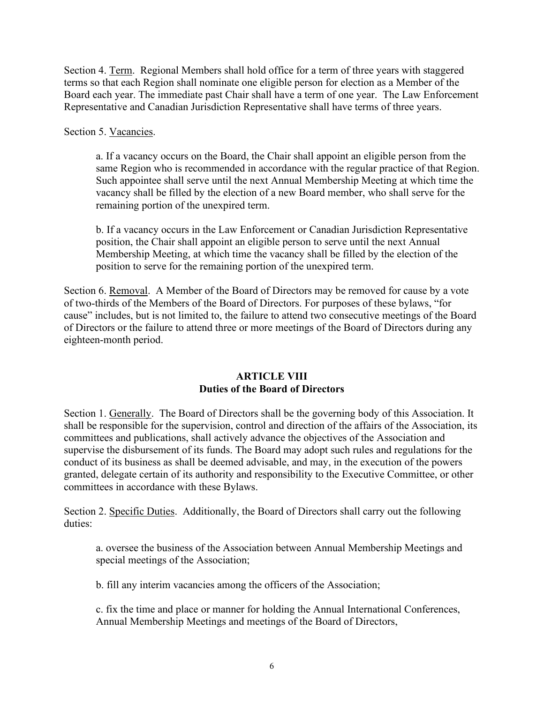Section 4. Term. Regional Members shall hold office for a term of three years with staggered terms so that each Region shall nominate one eligible person for election as a Member of the Board each year. The immediate past Chair shall have a term of one year. The Law Enforcement Representative and Canadian Jurisdiction Representative shall have terms of three years.

Section 5. Vacancies.

a. If a vacancy occurs on the Board, the Chair shall appoint an eligible person from the same Region who is recommended in accordance with the regular practice of that Region. Such appointee shall serve until the next Annual Membership Meeting at which time the vacancy shall be filled by the election of a new Board member, who shall serve for the remaining portion of the unexpired term.

b. If a vacancy occurs in the Law Enforcement or Canadian Jurisdiction Representative position, the Chair shall appoint an eligible person to serve until the next Annual Membership Meeting, at which time the vacancy shall be filled by the election of the position to serve for the remaining portion of the unexpired term.

Section 6. Removal. A Member of the Board of Directors may be removed for cause by a vote of two-thirds of the Members of the Board of Directors. For purposes of these bylaws, "for cause" includes, but is not limited to, the failure to attend two consecutive meetings of the Board of Directors or the failure to attend three or more meetings of the Board of Directors during any eighteen-month period.

### **ARTICLE VIII Duties of the Board of Directors**

Section 1. Generally. The Board of Directors shall be the governing body of this Association. It shall be responsible for the supervision, control and direction of the affairs of the Association, its committees and publications, shall actively advance the objectives of the Association and supervise the disbursement of its funds. The Board may adopt such rules and regulations for the conduct of its business as shall be deemed advisable, and may, in the execution of the powers granted, delegate certain of its authority and responsibility to the Executive Committee, or other committees in accordance with these Bylaws.

Section 2. Specific Duties. Additionally, the Board of Directors shall carry out the following duties:

a. oversee the business of the Association between Annual Membership Meetings and special meetings of the Association;

b. fill any interim vacancies among the officers of the Association;

c. fix the time and place or manner for holding the Annual International Conferences, Annual Membership Meetings and meetings of the Board of Directors,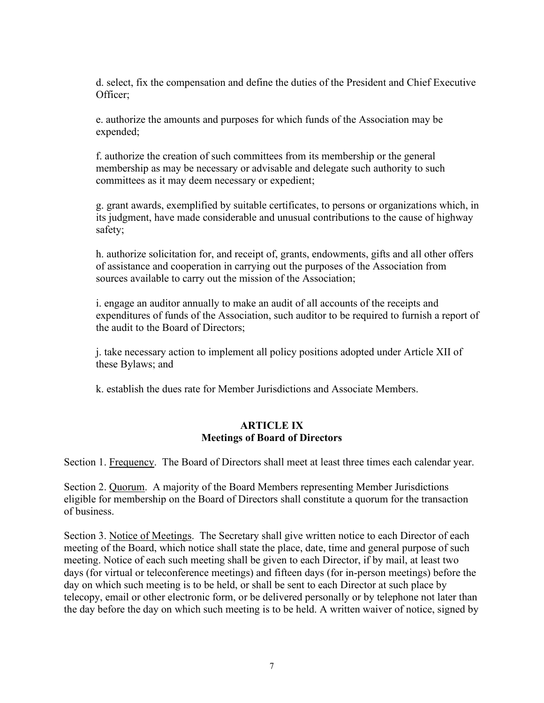d. select, fix the compensation and define the duties of the President and Chief Executive Officer;

e. authorize the amounts and purposes for which funds of the Association may be expended;

f. authorize the creation of such committees from its membership or the general membership as may be necessary or advisable and delegate such authority to such committees as it may deem necessary or expedient;

g. grant awards, exemplified by suitable certificates, to persons or organizations which, in its judgment, have made considerable and unusual contributions to the cause of highway safety;

h. authorize solicitation for, and receipt of, grants, endowments, gifts and all other offers of assistance and cooperation in carrying out the purposes of the Association from sources available to carry out the mission of the Association;

i. engage an auditor annually to make an audit of all accounts of the receipts and expenditures of funds of the Association, such auditor to be required to furnish a report of the audit to the Board of Directors;

j. take necessary action to implement all policy positions adopted under Article XII of these Bylaws; and

k. establish the dues rate for Member Jurisdictions and Associate Members.

# **ARTICLE IX Meetings of Board of Directors**

Section 1. Frequency. The Board of Directors shall meet at least three times each calendar year.

Section 2. Quorum. A majority of the Board Members representing Member Jurisdictions eligible for membership on the Board of Directors shall constitute a quorum for the transaction of business.

Section 3. Notice of Meetings. The Secretary shall give written notice to each Director of each meeting of the Board, which notice shall state the place, date, time and general purpose of such meeting. Notice of each such meeting shall be given to each Director, if by mail, at least two days (for virtual or teleconference meetings) and fifteen days (for in-person meetings) before the day on which such meeting is to be held, or shall be sent to each Director at such place by telecopy, email or other electronic form, or be delivered personally or by telephone not later than the day before the day on which such meeting is to be held. A written waiver of notice, signed by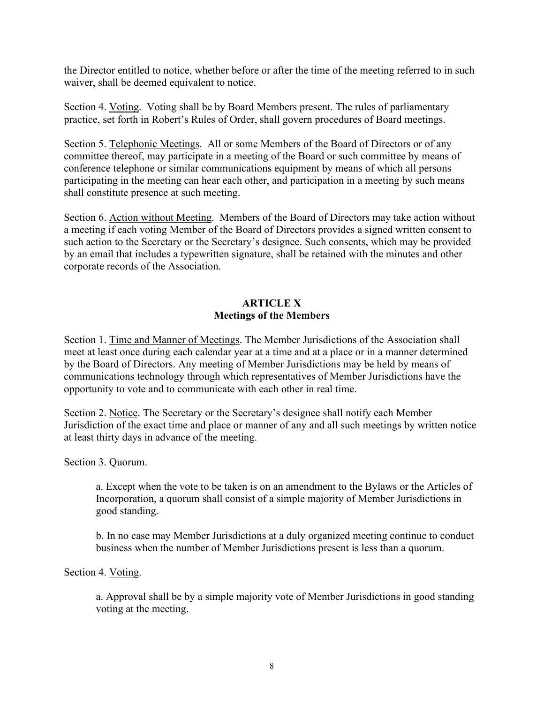the Director entitled to notice, whether before or after the time of the meeting referred to in such waiver, shall be deemed equivalent to notice.

Section 4. Voting. Voting shall be by Board Members present. The rules of parliamentary practice, set forth in Robert's Rules of Order, shall govern procedures of Board meetings.

Section 5. Telephonic Meetings. All or some Members of the Board of Directors or of any committee thereof, may participate in a meeting of the Board or such committee by means of conference telephone or similar communications equipment by means of which all persons participating in the meeting can hear each other, and participation in a meeting by such means shall constitute presence at such meeting.

Section 6. Action without Meeting. Members of the Board of Directors may take action without a meeting if each voting Member of the Board of Directors provides a signed written consent to such action to the Secretary or the Secretary's designee. Such consents, which may be provided by an email that includes a typewritten signature, shall be retained with the minutes and other corporate records of the Association.

# **ARTICLE X Meetings of the Members**

Section 1. Time and Manner of Meetings. The Member Jurisdictions of the Association shall meet at least once during each calendar year at a time and at a place or in a manner determined by the Board of Directors. Any meeting of Member Jurisdictions may be held by means of communications technology through which representatives of Member Jurisdictions have the opportunity to vote and to communicate with each other in real time.

Section 2. Notice. The Secretary or the Secretary's designee shall notify each Member Jurisdiction of the exact time and place or manner of any and all such meetings by written notice at least thirty days in advance of the meeting.

Section 3. Quorum.

a. Except when the vote to be taken is on an amendment to the Bylaws or the Articles of Incorporation, a quorum shall consist of a simple majority of Member Jurisdictions in good standing.

b. In no case may Member Jurisdictions at a duly organized meeting continue to conduct business when the number of Member Jurisdictions present is less than a quorum.

Section 4. Voting.

a. Approval shall be by a simple majority vote of Member Jurisdictions in good standing voting at the meeting.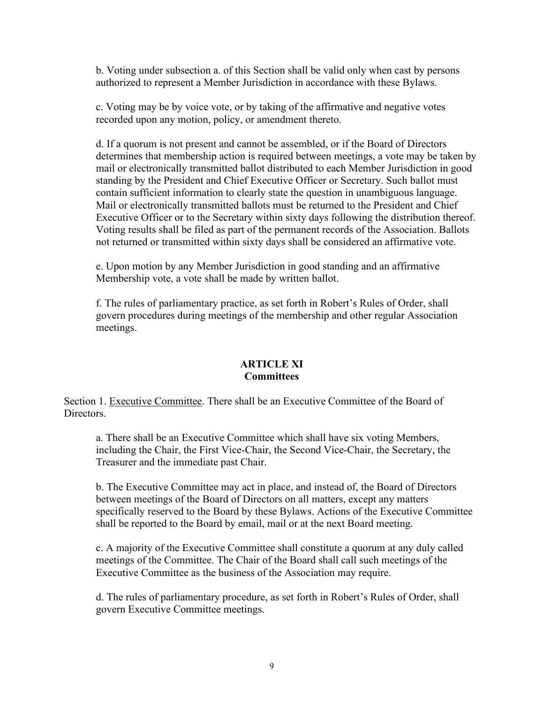b. Voting under subsection a. of this Section shall be valid only when cast by persons authorized to represent a Member Jurisdiction in accordance with these Bylaws.

c. Voting may be by voice vote, or by taking of the affirmative and negative votes recorded upon any motion, policy, or amendment thereto.

d. If a quorum is not present and cannot be assembled, or if the Board of Directors determines that membership action is required between meetings, a vote may be taken by mail or electronically transmitted ballot distributed to each Member Jurisdiction in good standing by the President and Chief Executive Officer or Secretary. Such ballot must contain sufficient information to clearly state the question in unambiguous language. Mail or electronically transmitted ballots must be returned to the President and Chief Executive Officer or to the Secretary within sixty days following the distribution thereof. Voting results shall be filed as part of the permanent records of the Association. Ballots not returned or transmitted within sixty days shall be considered an affirmative vote.

e. Upon motion by any Member Jurisdiction in good standing and an affirmative Membership vote, a vote shall be made by written ballot.

f. The rules of parliamentary practice, as set forth in Robert's Rules of Order, shall govern procedures during meetings of the membership and other regular Association meetings.

### **ARTICLE XI Committees**

Section 1. Executive Committee. There shall be an Executive Committee of the Board of **Directors** 

a. There shall be an Executive Committee which shall have six voting Members, including the Chair, the First Vice-Chair, the Second Vice-Chair, the Secretary, the Treasurer and the immediate past Chair.

b. The Executive Committee may act in place, and instead of, the Board of Directors between meetings of the Board of Directors on all matters, except any matters specifically reserved to the Board by these Bylaws. Actions of the Executive Committee shall be reported to the Board by email, mail or at the next Board meeting.

c. A majority of the Executive Committee shall constitute a quorum at any duly called meetings of the Committee. The Chair of the Board shall call such meetings of the Executive Committee as the business of the Association may require.

d. The rules of parliamentary procedure, as set forth in Robert's Rules of Order, shall govern Executive Committee meetings.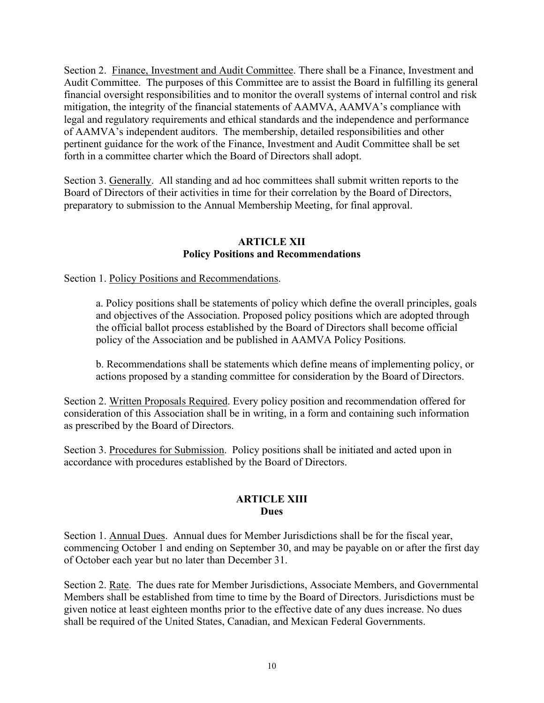Section 2. Finance, Investment and Audit Committee. There shall be a Finance, Investment and Audit Committee. The purposes of this Committee are to assist the Board in fulfilling its general financial oversight responsibilities and to monitor the overall systems of internal control and risk mitigation, the integrity of the financial statements of AAMVA, AAMVA's compliance with legal and regulatory requirements and ethical standards and the independence and performance of AAMVA's independent auditors. The membership, detailed responsibilities and other pertinent guidance for the work of the Finance, Investment and Audit Committee shall be set forth in a committee charter which the Board of Directors shall adopt.

Section 3. Generally. All standing and ad hoc committees shall submit written reports to the Board of Directors of their activities in time for their correlation by the Board of Directors, preparatory to submission to the Annual Membership Meeting, for final approval.

# **ARTICLE XII Policy Positions and Recommendations**

Section 1. Policy Positions and Recommendations.

a. Policy positions shall be statements of policy which define the overall principles, goals and objectives of the Association. Proposed policy positions which are adopted through the official ballot process established by the Board of Directors shall become official policy of the Association and be published in AAMVA Policy Positions.

b. Recommendations shall be statements which define means of implementing policy, or actions proposed by a standing committee for consideration by the Board of Directors.

Section 2. Written Proposals Required. Every policy position and recommendation offered for consideration of this Association shall be in writing, in a form and containing such information as prescribed by the Board of Directors.

Section 3. Procedures for Submission. Policy positions shall be initiated and acted upon in accordance with procedures established by the Board of Directors.

# **ARTICLE XIII Dues**

Section 1. Annual Dues. Annual dues for Member Jurisdictions shall be for the fiscal year, commencing October 1 and ending on September 30, and may be payable on or after the first day of October each year but no later than December 31.

Section 2. Rate. The dues rate for Member Jurisdictions, Associate Members, and Governmental Members shall be established from time to time by the Board of Directors. Jurisdictions must be given notice at least eighteen months prior to the effective date of any dues increase. No dues shall be required of the United States, Canadian, and Mexican Federal Governments.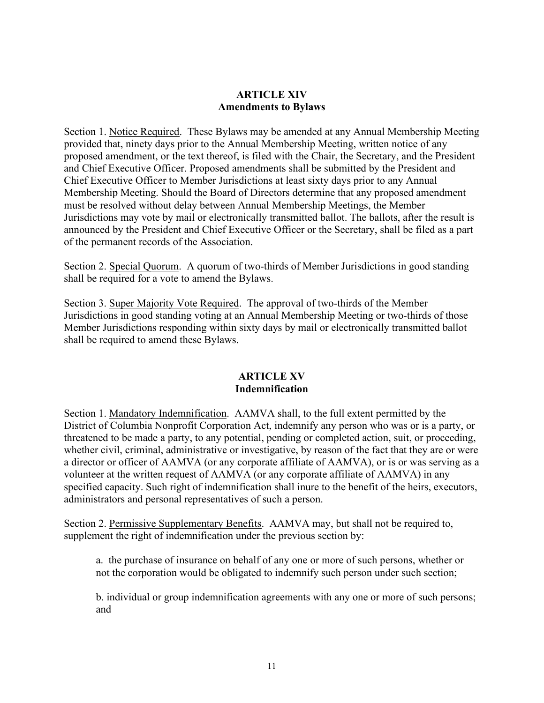# **ARTICLE XIV Amendments to Bylaws**

Section 1. Notice Required. These Bylaws may be amended at any Annual Membership Meeting provided that, ninety days prior to the Annual Membership Meeting, written notice of any proposed amendment, or the text thereof, is filed with the Chair, the Secretary, and the President and Chief Executive Officer. Proposed amendments shall be submitted by the President and Chief Executive Officer to Member Jurisdictions at least sixty days prior to any Annual Membership Meeting. Should the Board of Directors determine that any proposed amendment must be resolved without delay between Annual Membership Meetings, the Member Jurisdictions may vote by mail or electronically transmitted ballot. The ballots, after the result is announced by the President and Chief Executive Officer or the Secretary, shall be filed as a part of the permanent records of the Association.

Section 2. Special Quorum. A quorum of two-thirds of Member Jurisdictions in good standing shall be required for a vote to amend the Bylaws.

Section 3. Super Majority Vote Required. The approval of two-thirds of the Member Jurisdictions in good standing voting at an Annual Membership Meeting or two-thirds of those Member Jurisdictions responding within sixty days by mail or electronically transmitted ballot shall be required to amend these Bylaws.

# **ARTICLE XV Indemnification**

Section 1. Mandatory Indemnification. AAMVA shall, to the full extent permitted by the District of Columbia Nonprofit Corporation Act, indemnify any person who was or is a party, or threatened to be made a party, to any potential, pending or completed action, suit, or proceeding, whether civil, criminal, administrative or investigative, by reason of the fact that they are or were a director or officer of AAMVA (or any corporate affiliate of AAMVA), or is or was serving as a volunteer at the written request of AAMVA (or any corporate affiliate of AAMVA) in any specified capacity. Such right of indemnification shall inure to the benefit of the heirs, executors, administrators and personal representatives of such a person.

Section 2. Permissive Supplementary Benefits. AAMVA may, but shall not be required to, supplement the right of indemnification under the previous section by:

a. the purchase of insurance on behalf of any one or more of such persons, whether or not the corporation would be obligated to indemnify such person under such section;

b. individual or group indemnification agreements with any one or more of such persons; and